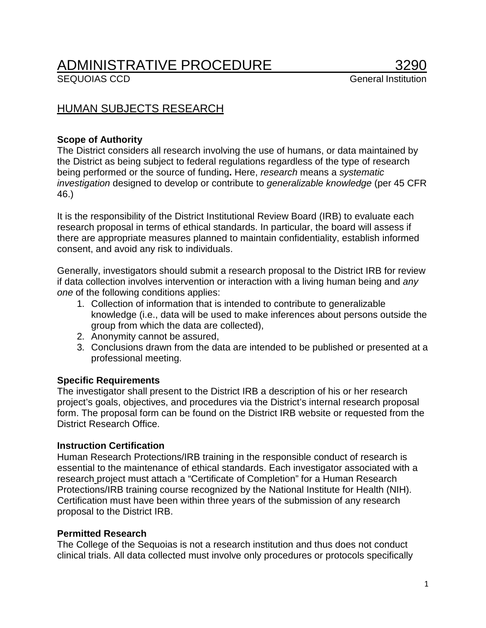# ADMINISTRATIVE PROCEDURE 3290<br>SEQUOIAS CCD General Institution

# HUMAN SUBJECTS RESEARCH

### **Scope of Authority**

The District considers all research involving the use of humans, or data maintained by the District as being subject to federal regulations regardless of the type of research being performed or the source of funding**.** Here, *research* means a *systematic investigation* designed to develop or contribute to *generalizable knowledge* (per 45 CFR 46.)

It is the responsibility of the District Institutional Review Board (IRB) to evaluate each research proposal in terms of ethical standards. In particular, the board will assess if there are appropriate measures planned to maintain confidentiality, establish informed consent, and avoid any risk to individuals.

Generally, investigators should submit a research proposal to the District IRB for review if data collection involves intervention or interaction with a living human being and *any one* of the following conditions applies:

- 1. Collection of information that is intended to contribute to generalizable knowledge (i.e., data will be used to make inferences about persons outside the group from which the data are collected),
- 2. Anonymity cannot be assured,
- 3. Conclusions drawn from the data are intended to be published or presented at a professional meeting.

#### **Specific Requirements**

The investigator shall present to the District IRB a description of his or her research project's goals, objectives, and procedures via the District's internal research proposal form. The proposal form can be found on the District IRB website or requested from the District Research Office.

#### **Instruction Certification**

Human Research Protections/IRB training in the responsible conduct of research is essential to the maintenance of ethical standards. Each investigator associated with a research project must attach a "Certificate of Completion" for a Human Research Protections/IRB training course recognized by the National Institute for Health (NIH). Certification must have been within three years of the submission of any research proposal to the District IRB.

## **Permitted Research**

The College of the Sequoias is not a research institution and thus does not conduct clinical trials. All data collected must involve only procedures or protocols specifically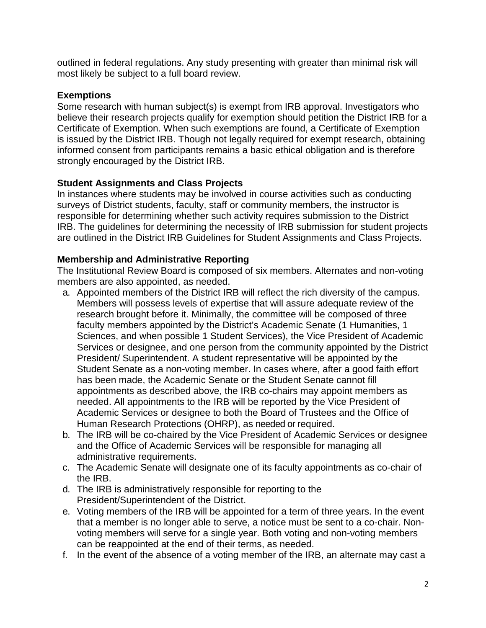outlined in federal regulations. Any study presenting with greater than minimal risk will most likely be subject to a full board review.

#### **Exemptions**

Some research with human subject(s) is exempt from IRB approval. Investigators who believe their research projects qualify for exemption should petition the District IRB for a Certificate of Exemption. When such exemptions are found, a Certificate of Exemption is issued by the District IRB. Though not legally required for exempt research, obtaining informed consent from participants remains a basic ethical obligation and is therefore strongly encouraged by the District IRB.

#### **Student Assignments and Class Projects**

In instances where students may be involved in course activities such as conducting surveys of District students, faculty, staff or community members, the instructor is responsible for determining whether such activity requires submission to the District IRB. The guidelines for determining the necessity of IRB submission for student projects are outlined in the District IRB Guidelines for Student Assignments and Class Projects.

#### **Membership and Administrative Reporting**

The Institutional Review Board is composed of six members. Alternates and non-voting members are also appointed, as needed.

- a. Appointed members of the District IRB will reflect the rich diversity of the campus. Members will possess levels of expertise that will assure adequate review of the research brought before it. Minimally, the committee will be composed of three faculty members appointed by the District's Academic Senate (1 Humanities, 1 Sciences, and when possible 1 Student Services), the Vice President of Academic Services or designee, and one person from the community appointed by the District President/ Superintendent. A student representative will be appointed by the Student Senate as a non-voting member. In cases where, after a good faith effort has been made, the Academic Senate or the Student Senate cannot fill appointments as described above, the IRB co-chairs may appoint members as needed. All appointments to the IRB will be reported by the Vice President of Academic Services or designee to both the Board of Trustees and the Office of Human Research Protections (OHRP), as needed or required.
- b. The IRB will be co-chaired by the Vice President of Academic Services or designee and the Office of Academic Services will be responsible for managing all administrative requirements.
- c. The Academic Senate will designate one of its faculty appointments as co-chair of the IRB.
- d. The IRB is administratively responsible for reporting to the President/Superintendent of the District.
- e. Voting members of the IRB will be appointed for a term of three years. In the event that a member is no longer able to serve, a notice must be sent to a co-chair. Nonvoting members will serve for a single year. Both voting and non-voting members can be reappointed at the end of their terms, as needed.
- f. In the event of the absence of a voting member of the IRB, an alternate may cast a